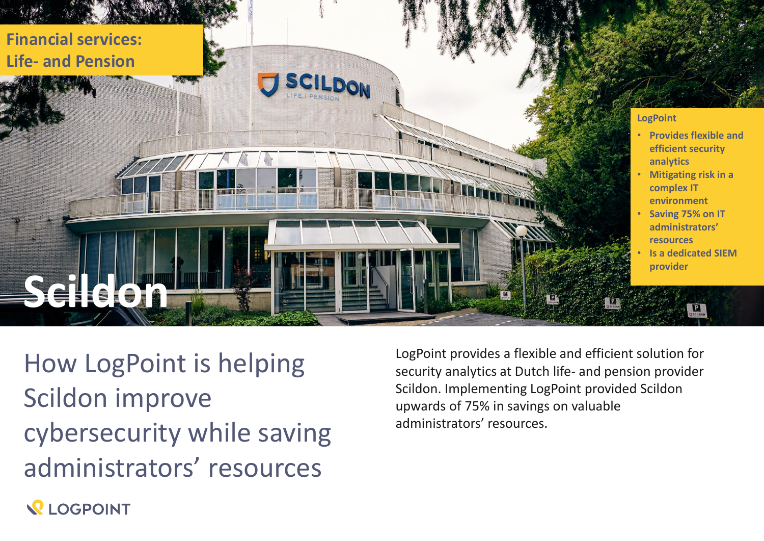

How LogPoint is helping Scildon improve cybersecurity while saving administrators' resources

LogPoint provides a flexible and efficient solution for security analytics at Dutch life- and pension provider Scildon. Implementing LogPoint provided Scildon upwards of 75% in savings on valuable administrators' resources.

**REOGPOINT**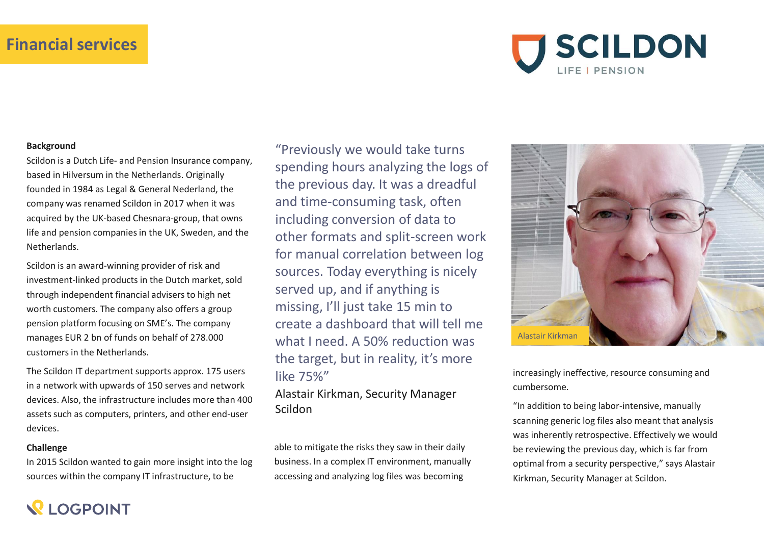## **Financial services**



#### **Background**

Scildon is a Dutch Life- and Pension Insurance company, based in Hilversum in the Netherlands. Originally founded in 1984 as Legal & General Nederland, the company was renamed Scildon in 2017 when it was acquired by the UK-based Chesnara-group, that owns life and pension companies in the UK, Sweden, and the Netherlands.

Scildon is an award-winning provider of risk and investment-linked products in the Dutch market, sold through independent financial advisers to high net worth customers. The company also offers a group pension platform focusing on SME's. The company manages EUR 2 bn of funds on behalf of 278.000 customers in the Netherlands.

The Scildon IT department supports approx. 175 users in a network with upwards of 150 serves and network devices. Also, the infrastructure includes more than 400 assets such as computers, printers, and other end-user devices.

#### **Challenge**

**QIOGPOINT** 

In 2015 Scildon wanted to gain more insight into the log sources within the company IT infrastructure, to be

"Previously we would take turns spending hours analyzing the logs of the previous day. It was a dreadful and time-consuming task, often including conversion of data to other formats and split-screen work for manual correlation between log sources. Today everything is nicely served up, and if anything is missing, I'll just take 15 min to create a dashboard that will tell me what I need. A 50% reduction was the target, but in reality, it's more like 75%" increasingly ineffective, resource consuming and

Alastair Kirkman, Security Manager Scildon

able to mitigate the risks they saw in their daily business. In a complex IT environment, manually accessing and analyzing log files was becoming



cumbersome.

"In addition to being labor-intensive, manually scanning generic log files also meant that analysis was inherently retrospective. Effectively we would be reviewing the previous day, which is far from optimal from a security perspective," says Alastair Kirkman, Security Manager at Scildon.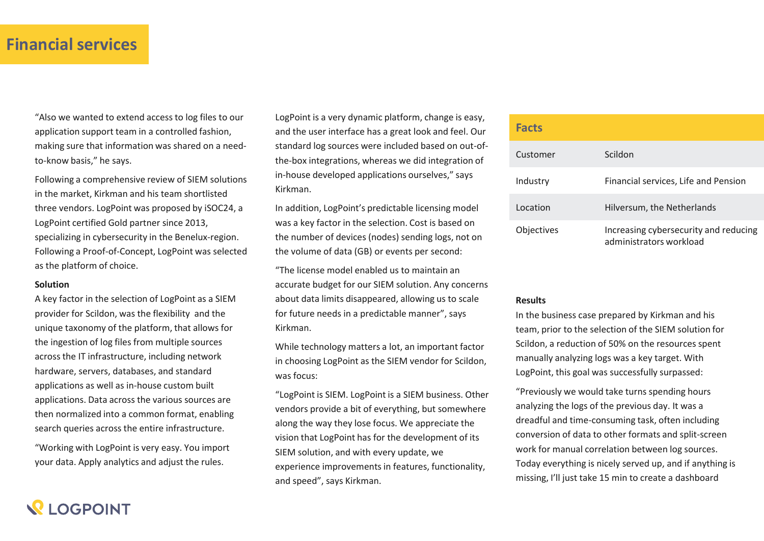## **Financial services**

"Also we wanted to extend access to log files to our application support team in a controlled fashion, making sure that information was shared on a needto-know basis," he says.

Following a comprehensive review of SIEM solutions in the market, Kirkman and his team shortlisted three vendors. LogPoint was proposed by iSOC24, a LogPoint certified Gold partner since 2013, specializing in cybersecurity in the Benelux-region. Following a Proof-of-Concept, LogPoint was selected as the platform of choice.

### **Solution**

A key factor in the selection of LogPoint as a SIEM provider for Scildon, was the flexibility and the unique taxonomy of the platform, that allows for the ingestion of log files from multiple sources across the IT infrastructure, including network hardware, servers, databases, and standard applications as well as in-house custom built applications. Data across the various sources are then normalized into a common format, enabling search queries across the entire infrastructure.

"Working with LogPoint is very easy. You import your data. Apply analytics and adjust the rules.

LogPoint is a very dynamic platform, change is easy, and the user interface has a great look and feel. Our standard log sources were included based on out-ofthe-box integrations, whereas we did integration of in-house developed applications ourselves," says Kirkman.

In addition, LogPoint's predictable licensing model was a key factor in the selection. Cost is based on the number of devices (nodes) sending logs, not on the volume of data (GB) or events per second:

"The license model enabled us to maintain an accurate budget for our SIEM solution. Any concerns about data limits disappeared, allowing us to scale for future needs in a predictable manner", says Kirkman.

While technology matters a lot, an important factor in choosing LogPoint as the SIEM vendor for Scildon, was focus:

"LogPoint is SIEM. LogPoint is a SIEM business. Other vendors provide a bit of everything, but somewhere along the way they lose focus. We appreciate the vision that LogPoint has for the development of its SIEM solution, and with every update, we experience improvements in features, functionality, and speed", says Kirkman.

#### **Facts**

| .                 |                                                                  |
|-------------------|------------------------------------------------------------------|
| Customer          | Scildon                                                          |
| Industry          | Financial services, Life and Pension                             |
| Location          | Hilversum, the Netherlands                                       |
| <b>Objectives</b> | Increasing cybersecurity and reducing<br>administrators workload |

#### **Results**

In the business case prepared by Kirkman and his team, prior to the selection of the SIEM solution for Scildon, a reduction of 50% on the resources spent manually analyzing logs was a key target. With LogPoint, this goal was successfully surpassed:

"Previously we would take turns spending hours analyzing the logs of the previous day. It was a dreadful and time-consuming task, often including conversion of data to other formats and split-screen work for manual correlation between log sources. Today everything is nicely served up, and if anything is missing, I'll just take 15 min to create a dashboard

# **QIOGPOINT**